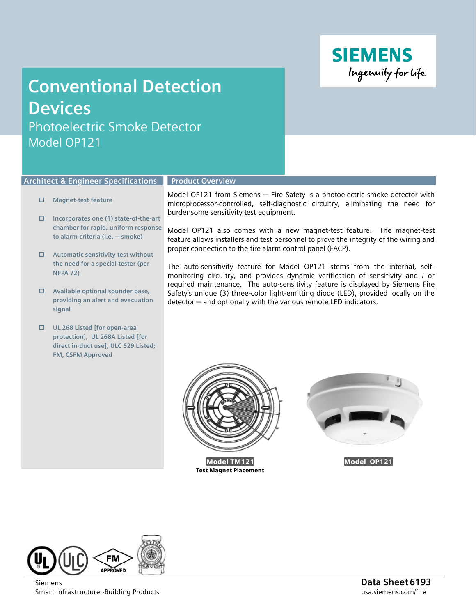

## **Conventional Detection Devices**

Photoelectric Smoke Detector Model OP121

## **Architect & Engineer Specifications**

## **Magnet-test feature**

- **Incorporates one (1) state-of-the-art chamber for rapid, uniform response to alarm criteria (i.e. ─ smoke)**
- **Automatic sensitivity test without the need for a special tester (per NFPA 72)**
- **Available optional sounder base, providing an alert and evacuation signal**
- **UL 268 Listed [for open-area protection], UL 268A Listed [for direct in-duct use], ULC 529 Listed; FM, CSFM Approved**

## **Product Overview**

Model OP121 from Siemens – Fire Safety is a photoelectric smoke detector with microprocessor-controlled, self-diagnostic circuitry, eliminating the need for burdensome sensitivity test equipment.

Model OP121 also comes with a new magnet-test feature. The magnet-test feature allows installers and test personnel to prove the integrity of the wiring and proper connection to the fire alarm control panel (FACP).

The auto-sensitivity feature for Model OP121 stems from the internal, selfmonitoring circuitry, and provides dynamic verification of sensitivity and / or required maintenance. The auto-sensitivity feature is displayed by Siemens Fire Safety's unique (3) three-color light-emitting diode (LED), provided locally on the detector ─ and optionally with the various remote LED indicators**.**



Test Magnet Placement



Model OP121



Smart Infrastructure -Building Products and the state of the state of the state of the state of the state of the state of the state of the state of the state of the state of the state of the state of the state of the state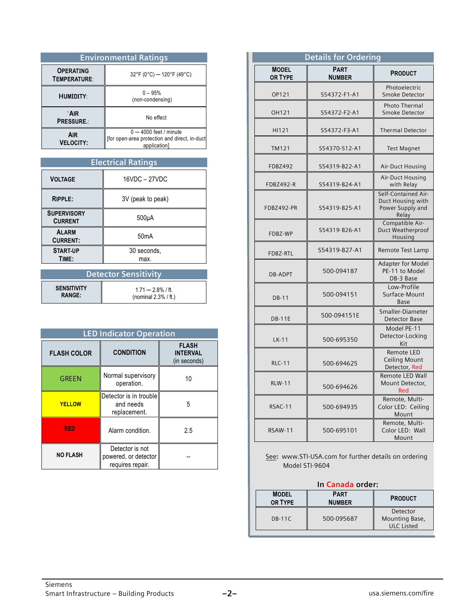| <b>Environmental Ratings</b>     |                                                                                           |  |
|----------------------------------|-------------------------------------------------------------------------------------------|--|
| <b>OPERATING</b><br>TEMPERATURE: | $32^{\circ}$ F (0°C) – 120°F (49°C)                                                       |  |
| <b>HUMIDITY:</b>                 | $0 - 95%$<br>(non-condensing)                                                             |  |
| `AIR<br><b>PRESSURE.:</b>        | No effect                                                                                 |  |
| <b>AIR</b><br><b>VELOCITY:</b>   | $0 - 4000$ feet / minute<br>[for open-area protection and direct, in-duct<br>application] |  |

| <b>Electrical Ratings</b>            |                     |  |
|--------------------------------------|---------------------|--|
| <b>VOLTAGE</b>                       | 16VDC - 27VDC       |  |
| <b>RIPPLE:</b>                       | 3V (peak to peak)   |  |
| <b>SUPERVISORY</b><br><b>CURRENT</b> | $500\mu A$          |  |
| <b>ALARM</b><br><b>CURRENT:</b>      | 50mA                |  |
| <b>START UP</b><br>TIME:             | 30 seconds,<br>max. |  |

| Detector Sensitivity |                         |  |
|----------------------|-------------------------|--|
| <b>SENSITIVITY</b>   | $1.71 - 2.8\%$ / ft.    |  |
| <b>RANGE:</b>        | (nominal $2.3\%$ / ft.) |  |

| <b>LED Indicator Operation</b> |                                                             |                                                 |
|--------------------------------|-------------------------------------------------------------|-------------------------------------------------|
| <b>FLASH COLOR</b>             | <b>CONDITION</b>                                            | <b>FLASH</b><br><b>INTERVAL</b><br>(in seconds) |
| <b>GREEN</b>                   | Normal supervisory<br>operation.                            | 10                                              |
| <b>YELLOW</b>                  | Detector is in trouble<br>and needs<br>replacement.         | 5                                               |
| <b>RED</b>                     | Alarm condition.                                            | 2.5                                             |
| <b>NO FLASH</b>                | Detector is not<br>powered, or detector<br>requires repair. |                                                 |

| <b>Details for Ordering</b>    |                              |                                                                       |  |
|--------------------------------|------------------------------|-----------------------------------------------------------------------|--|
| <b>MODEL</b><br><b>OR TYPE</b> | <b>PART</b><br><b>NUMBER</b> | <b>PRODUCT</b>                                                        |  |
| OP121                          | S54372-F1-A1                 | Photoelectric<br>Smoke Detector                                       |  |
| OH121                          | S54372-F2-A1                 | <b>Photo Thermal</b><br>Smoke Detector                                |  |
| HI121                          | S54372-F3-A1                 | <b>Thermal Detector</b>                                               |  |
| <b>TM121</b>                   | S54370-S12-A1                | <b>Test Magnet</b>                                                    |  |
| <b>FDBZ492</b>                 | S54319-B22-A1                | Air-Duct Housing                                                      |  |
| FDBZ492-R                      | S54319-B24-A1                | Air-Duct Housing<br>with Relay                                        |  |
| FDBZ492-PR                     | S54319-B25-A1                | Self-Contained Air-<br>Duct Housing with<br>Power Supply and<br>Relay |  |
| FDBZ-WP                        | S54319-B26-A1                | Compatible Air-<br>Duct Weatherproof<br>Housing                       |  |
| FDBZ-RTL                       | S54319-B27-A1                | Remote Test Lamp                                                      |  |
| <b>DB-ADPT</b>                 | 500-094187                   | <b>Adapter for Model</b><br>PE-11 to Model<br>DB-3 Base               |  |
| <b>DB-11</b>                   | 500-094151                   | Low-Profile<br>Surface-Mount<br>Base                                  |  |
| <b>DB-11E</b>                  | 500-094151E                  | Smaller-Diameter<br><b>Detector Base</b>                              |  |
| $LK-11$                        | 500-695350                   | Model PE-11<br>Detector-Locking<br>Kit                                |  |
| <b>RLC-11</b>                  | 500-694625                   | Remote LED<br>Ceiling Mount<br>Detector, Red                          |  |
| <b>RLW-11</b>                  | 500-694626                   | Remote LED Wall<br>Mount Detector,<br>Red                             |  |
| RSAC-11                        | 500-694935                   | Remote, Multi-<br>Color LED: Ceiling<br>Mount                         |  |
| <b>RSAW-11</b>                 | 500-695101                   | Remote, Multi-<br>Color LED: Wall<br>Mount                            |  |

See**:** [www.STI-USA.com](http://www.sti-usa.com/) for further details on ordering Model STI-9604

| In Canada order: |  |  |
|------------------|--|--|
|                  |  |  |

| <b>MODEL</b><br>OR TYPE | <b>PART</b><br><b>NUMBER</b> | <b>PRODUCT</b>                                  |
|-------------------------|------------------------------|-------------------------------------------------|
| DB-11C                  | 500-095687                   | Detector<br>Mounting Base,<br><b>ULC Listed</b> |